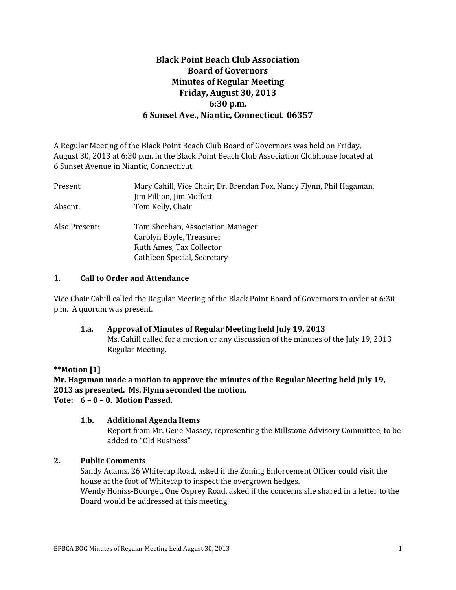## **Black Point Beach Club Association Board of Governors Minutes of Regular Meeting Friday, August 30, 2013 6:30 p.m. 6 Sunset Ave., Niantic, Connecticut 06357**

A Regular Meeting of the Black Point Beach Club Board of Governors was held on Friday, August 30, 2013 at 6:30 p.m. in the Black Point Beach Club Association Clubhouse located at 6 Sunset Avenue in Niantic, Connecticut.

| Mary Cahill, Vice Chair; Dr. Brendan Fox, Nancy Flynn, Phil Hagaman,<br>Jim Pillion, Jim Moffett |  |  |  |
|--------------------------------------------------------------------------------------------------|--|--|--|
| Tom Kelly, Chair                                                                                 |  |  |  |
| Tom Sheehan, Association Manager<br>Carolyn Boyle, Treasurer                                     |  |  |  |
| Ruth Ames, Tax Collector                                                                         |  |  |  |
| Cathleen Special, Secretary                                                                      |  |  |  |
|                                                                                                  |  |  |  |

### 1. **Call to Order and Attendance**

Vice Chair Cahill called the Regular Meeting of the Black Point Board of Governors to order at 6:30 p.m. A quorum was present.

### **1.a. Approval of Minutes of Regular Meeting held July 19, 2013**

Ms. Cahill called for a motion or any discussion of the minutes of the July 19, 2013 Regular Meeting.

### **\*\*Motion [1]**

**Mr. Hagaman made a motion to approve the minutes of the Regular Meeting held July 19, 2013 as presented. Ms. Flynn seconded the motion. Vote: 6 – 0 – 0. Motion Passed.**

### **1.b. Additional Agenda Items**

Report from Mr. Gene Massey, representing the Millstone Advisory Committee, to be added to "Old Business"

### **2. Public Comments**

Sandy Adams, 26 Whitecap Road, asked if the Zoning Enforcement Officer could visit the house at the foot of Whitecap to inspect the overgrown hedges.

Wendy Honiss-Bourget, One Osprey Road, asked if the concerns she shared in a letter to the Board would be addressed at this meeting.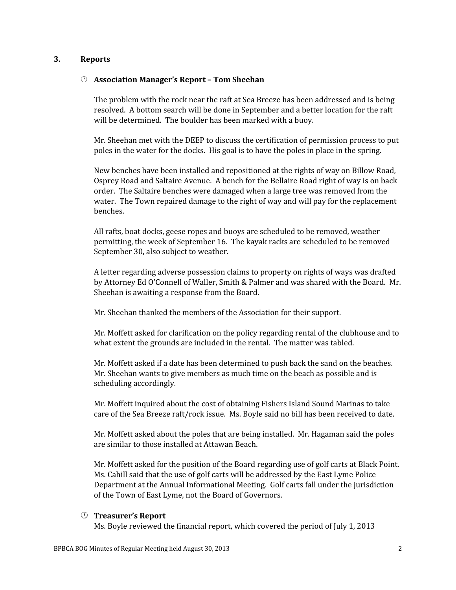### **3. Reports**

### **Association Manager's Report – Tom Sheehan**

The problem with the rock near the raft at Sea Breeze has been addressed and is being resolved. A bottom search will be done in September and a better location for the raft will be determined. The boulder has been marked with a buoy.

Mr. Sheehan met with the DEEP to discuss the certification of permission process to put poles in the water for the docks. His goal is to have the poles in place in the spring.

New benches have been installed and repositioned at the rights of way on Billow Road, Osprey Road and Saltaire Avenue. A bench for the Bellaire Road right of way is on back order. The Saltaire benches were damaged when a large tree was removed from the water. The Town repaired damage to the right of way and will pay for the replacement benches.

All rafts, boat docks, geese ropes and buoys are scheduled to be removed, weather permitting, the week of September 16. The kayak racks are scheduled to be removed September 30, also subject to weather.

A letter regarding adverse possession claims to property on rights of ways was drafted by Attorney Ed O'Connell of Waller, Smith & Palmer and was shared with the Board. Mr. Sheehan is awaiting a response from the Board.

Mr. Sheehan thanked the members of the Association for their support.

Mr. Moffett asked for clarification on the policy regarding rental of the clubhouse and to what extent the grounds are included in the rental. The matter was tabled.

Mr. Moffett asked if a date has been determined to push back the sand on the beaches. Mr. Sheehan wants to give members as much time on the beach as possible and is scheduling accordingly.

Mr. Moffett inquired about the cost of obtaining Fishers Island Sound Marinas to take care of the Sea Breeze raft/rock issue. Ms. Boyle said no bill has been received to date.

Mr. Moffett asked about the poles that are being installed. Mr. Hagaman said the poles are similar to those installed at Attawan Beach.

Mr. Moffett asked for the position of the Board regarding use of golf carts at Black Point. Ms. Cahill said that the use of golf carts will be addressed by the East Lyme Police Department at the Annual Informational Meeting. Golf carts fall under the jurisdiction of the Town of East Lyme, not the Board of Governors.

#### **Treasurer's Report**

Ms. Boyle reviewed the financial report, which covered the period of July 1, 2013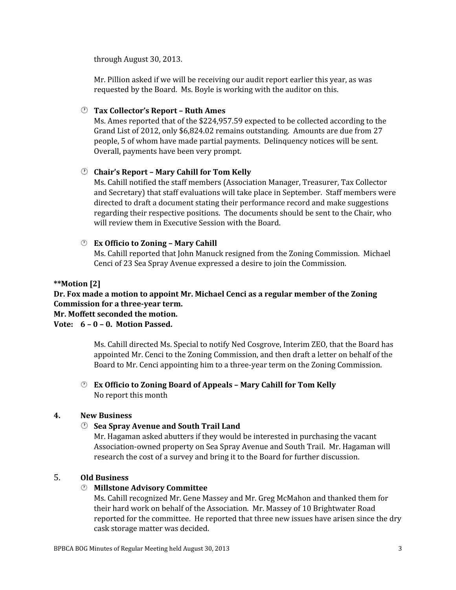through August 30, 2013.

Mr. Pillion asked if we will be receiving our audit report earlier this year, as was requested by the Board. Ms. Boyle is working with the auditor on this.

### **Tax Collector's Report – Ruth Ames**

Ms. Ames reported that of the \$224,957.59 expected to be collected according to the Grand List of 2012, only \$6,824.02 remains outstanding. Amounts are due from 27 people, 5 of whom have made partial payments. Delinquency notices will be sent. Overall, payments have been very prompt.

### **Chair's Report – Mary Cahill for Tom Kelly**

Ms. Cahill notified the staff members (Association Manager, Treasurer, Tax Collector and Secretary) that staff evaluations will take place in September. Staff members were directed to draft a document stating their performance record and make suggestions regarding their respective positions. The documents should be sent to the Chair, who will review them in Executive Session with the Board.

### **Ex Officio to Zoning – Mary Cahill**

Ms. Cahill reported that John Manuck resigned from the Zoning Commission. Michael Cenci of 23 Sea Spray Avenue expressed a desire to join the Commission.

### **\*\*Motion [2]**

# **Dr. Fox made a motion to appoint Mr. Michael Cenci as a regular member of the Zoning Commission for a three-year term.**

### **Mr. Moffett seconded the motion.**

### **Vote: 6 – 0 – 0. Motion Passed.**

Ms. Cahill directed Ms. Special to notify Ned Cosgrove, Interim ZEO, that the Board has appointed Mr. Cenci to the Zoning Commission, and then draft a letter on behalf of the Board to Mr. Cenci appointing him to a three-year term on the Zoning Commission.

### **Ex Officio to Zoning Board of Appeals – Mary Cahill for Tom Kelly** No report this month

### **4. New Business**

### **Sea Spray Avenue and South Trail Land**

Mr. Hagaman asked abutters if they would be interested in purchasing the vacant Association-owned property on Sea Spray Avenue and South Trail. Mr. Hagaman will research the cost of a survey and bring it to the Board for further discussion.

### 5. **Old Business**

### **Millstone Advisory Committee**

Ms. Cahill recognized Mr. Gene Massey and Mr. Greg McMahon and thanked them for their hard work on behalf of the Association. Mr. Massey of 10 Brightwater Road reported for the committee. He reported that three new issues have arisen since the dry cask storage matter was decided.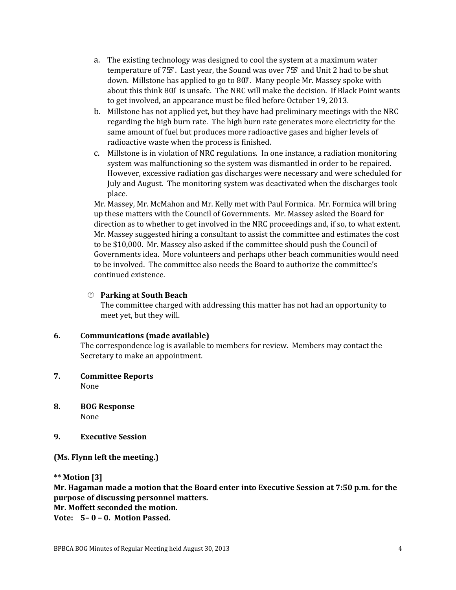- a. The existing technology was designed to cool the system at a maximum water temperature of  $75^{\circ}$ . Last year, the Sound was over  $75^{\circ}$  and Unit 2 had to be shut down. Millstone has applied to go to  $80^\circ$ . Many people Mr. Massey spoke with about this think  $800$  is unsafe. The NRC will make the decision. If Black Point wants to get involved, an appearance must be filed before October 19, 2013.
- b. Millstone has not applied yet, but they have had preliminary meetings with the NRC regarding the high burn rate. The high burn rate generates more electricity for the same amount of fuel but produces more radioactive gases and higher levels of radioactive waste when the process is finished.
- c. Millstone is in violation of NRC regulations. In one instance, a radiation monitoring system was malfunctioning so the system was dismantled in order to be repaired. However, excessive radiation gas discharges were necessary and were scheduled for July and August. The monitoring system was deactivated when the discharges took place.

Mr. Massey, Mr. McMahon and Mr. Kelly met with Paul Formica. Mr. Formica will bring up these matters with the Council of Governments. Mr. Massey asked the Board for direction as to whether to get involved in the NRC proceedings and, if so, to what extent. Mr. Massey suggested hiring a consultant to assist the committee and estimates the cost to be \$10,000. Mr. Massey also asked if the committee should push the Council of Governments idea. More volunteers and perhaps other beach communities would need to be involved. The committee also needs the Board to authorize the committee's continued existence.

### **Parking at South Beach**

The committee charged with addressing this matter has not had an opportunity to meet yet, but they will.

### **6. Communications (made available)**

The correspondence log is available to members for review. Members may contact the Secretary to make an appointment.

- **7. Committee Reports** None
- **8. BOG Response** None
- **9. Executive Session**

**(Ms. Flynn left the meeting.)**

**\*\* Motion [3]**

**Mr. Hagaman made a motion that the Board enter into Executive Session at 7:50 p.m. for the purpose of discussing personnel matters.** 

**Mr. Moffett seconded the motion.**

**Vote: 5– 0 – 0. Motion Passed.**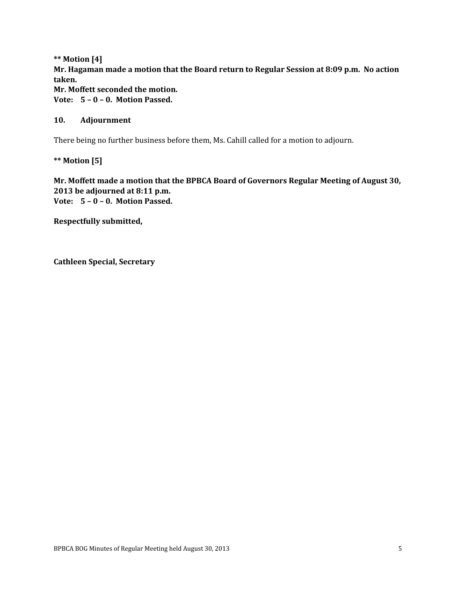**\*\* Motion [4] Mr. Hagaman made a motion that the Board return to Regular Session at 8:09 p.m. No action taken. Mr. Moffett seconded the motion. Vote: 5 – 0 – 0. Motion Passed.**

### **10. Adjournment**

There being no further business before them, Ms. Cahill called for a motion to adjourn.

**\*\* Motion [5]**

**Mr. Moffett made a motion that the BPBCA Board of Governors Regular Meeting of August 30, 2013 be adjourned at 8:11 p.m. Vote: 5 – 0 – 0. Motion Passed.**

**Respectfully submitted,**

**Cathleen Special, Secretary**